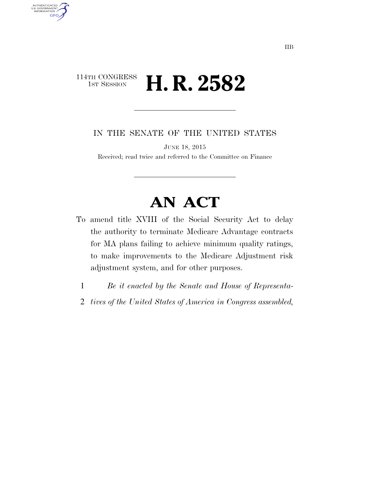### 114TH CONGRESS<br>1st Session H. R. 2582

AUTHENTICATED<br>U.S. GOVERNMENT<br>INFORMATION GPO

IN THE SENATE OF THE UNITED STATES

JUNE 18, 2015

Received; read twice and referred to the Committee on Finance

# **AN ACT**

- To amend title XVIII of the Social Security Act to delay the authority to terminate Medicare Advantage contracts for MA plans failing to achieve minimum quality ratings, to make improvements to the Medicare Adjustment risk adjustment system, and for other purposes.
	- 1 *Be it enacted by the Senate and House of Representa-*
	- 2 *tives of the United States of America in Congress assembled,*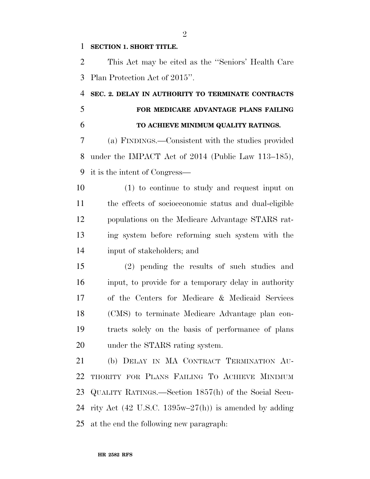#### **SECTION 1. SHORT TITLE.**

 This Act may be cited as the ''Seniors' Health Care Plan Protection Act of 2015''.

## **SEC. 2. DELAY IN AUTHORITY TO TERMINATE CONTRACTS FOR MEDICARE ADVANTAGE PLANS FAILING TO ACHIEVE MINIMUM QUALITY RATINGS.**

 (a) FINDINGS.—Consistent with the studies provided under the IMPACT Act of 2014 (Public Law 113–185), it is the intent of Congress—

 (1) to continue to study and request input on the effects of socioeconomic status and dual-eligible populations on the Medicare Advantage STARS rat- ing system before reforming such system with the input of stakeholders; and

 (2) pending the results of such studies and input, to provide for a temporary delay in authority of the Centers for Medicare & Medicaid Services (CMS) to terminate Medicare Advantage plan con- tracts solely on the basis of performance of plans under the STARS rating system.

 (b) DELAY IN MA CONTRACT TERMINATION AU- THORITY FOR PLANS FAILING TO ACHIEVE MINIMUM QUALITY RATINGS.—Section 1857(h) of the Social Secu-24 rity Act (42 U.S.C. 1395w–27(h)) is amended by adding at the end the following new paragraph:

 $\mathfrak{D}$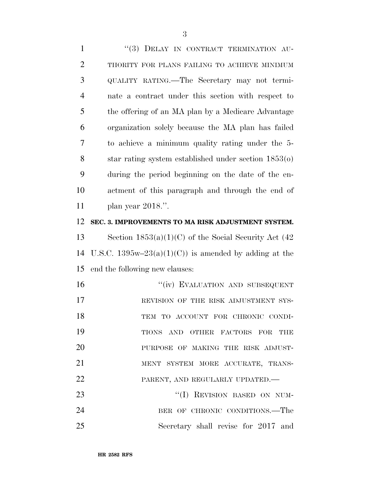1 "(3) DELAY IN CONTRACT TERMINATION AU- THORITY FOR PLANS FAILING TO ACHIEVE MINIMUM QUALITY RATING.—The Secretary may not termi- nate a contract under this section with respect to the offering of an MA plan by a Medicare Advantage organization solely because the MA plan has failed to achieve a minimum quality rating under the 5- star rating system established under section 1853(o) during the period beginning on the date of the en- actment of this paragraph and through the end of plan year 2018.''.

#### 12 **SEC. 3. IMPROVEMENTS TO MA RISK ADJUSTMENT SYSTEM.**

13 Section  $1853(a)(1)(C)$  of the Social Security Act (42) 14 U.S.C.  $1395w-23(a)(1)(C)$  is amended by adding at the 15 end the following new clauses:

16 "(iv) EVALUATION AND SUBSEQUENT 17 REVISION OF THE RISK ADJUSTMENT SYS-18 TEM TO ACCOUNT FOR CHRONIC CONDI-19 TIONS AND OTHER FACTORS FOR THE 20 PURPOSE OF MAKING THE RISK ADJUST-21 MENT SYSTEM MORE ACCURATE, TRANS-22 PARENT, AND REGULARLY UPDATED. 23 "(I) REVISION BASED ON NUM-24 BER OF CHRONIC CONDITIONS.—The

25 Secretary shall revise for 2017 and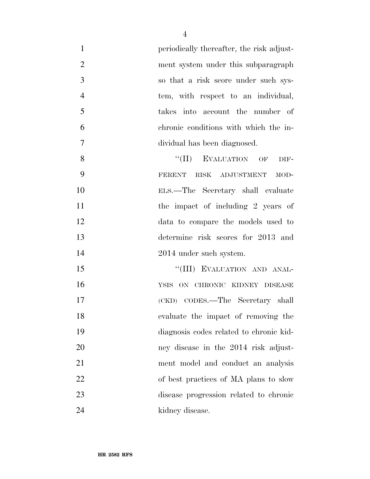| $\mathbf{1}$   | periodically thereafter, the risk adjust- |
|----------------|-------------------------------------------|
| $\overline{2}$ | ment system under this subparagraph       |
| 3              | so that a risk score under such sys-      |
| $\overline{4}$ | tem, with respect to an individual,       |
| 5              | takes into account the number of          |
| 6              | chronic conditions with which the in-     |
| $\tau$         | dividual has been diagnosed.              |
| 8              | EVALUATION OF<br>``(II)<br>DIF-           |
| 9              | FERENT RISK ADJUSTMENT<br>MOD-            |
| 10             | ELS.—The Secretary shall evaluate         |
| 11             | the impact of including 2 years of        |
| 12             | data to compare the models used to        |
| 13             | determine risk scores for 2013 and        |
| 14             | 2014 under such system.                   |
| 15             | "(III) EVALUATION AND ANAL-               |
| 16             | YSIS ON CHRONIC KIDNEY DISEASE            |
| 17             | (CKD) CODES.—The Secretary shall          |
| 18             | evaluate the impact of removing the       |
| 19             | diagnosis codes related to chronic kid-   |
| 20             | ney disease in the 2014 risk adjust-      |
| 21             | ment model and conduct an analysis        |
| 22             | of best practices of MA plans to slow     |
| 23             | disease progression related to chronic    |
| 24             | kidney disease.                           |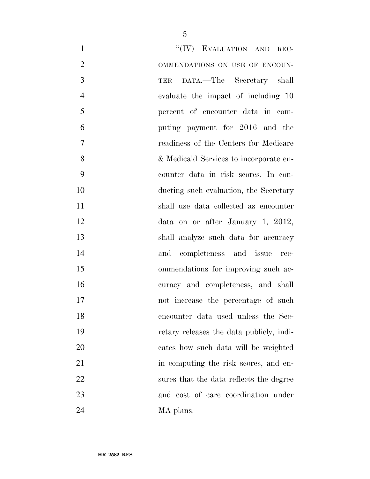| $\mathbf{1}$   | "(IV) EVALUATION AND REC-                |
|----------------|------------------------------------------|
| $\overline{2}$ | OMMENDATIONS ON USE OF ENCOUN-           |
| 3              | DATA.—The Secretary shall<br>TER         |
| $\overline{4}$ | evaluate the impact of including 10      |
| 5              | percent of encounter data in com-        |
| 6              | puting payment for 2016 and the          |
| $\tau$         | readiness of the Centers for Medicare    |
| 8              | & Medicaid Services to incorporate en-   |
| 9              | counter data in risk scores. In con-     |
| 10             | ducting such evaluation, the Secretary   |
| 11             | shall use data collected as encounter    |
| 12             | data on or after January 1, 2012,        |
| 13             | shall analyze such data for accuracy     |
| 14             | and completeness and issue rec-          |
| 15             | ommendations for improving such ac-      |
| 16             | curacy and completeness, and shall       |
| 17             | not increase the percentage of such      |
| 18             | encounter data used unless the Sec-      |
| 19             | retary releases the data publicly, indi- |
| 20             | cates how such data will be weighted     |
| 21             | in computing the risk scores, and en-    |
| 22             | sures that the data reflects the degree  |
| 23             | and cost of care coordination under      |
| 24             | MA plans.                                |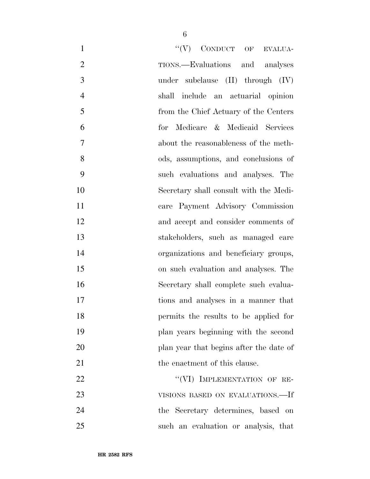| $``(V)$ CONDUCT OF EVALUA-<br>$\mathbf{1}$           |
|------------------------------------------------------|
| $\overline{2}$<br>TIONS.—Evaluations and analyses    |
| 3<br>under subclause $(II)$ through $(IV)$           |
| $\overline{4}$<br>shall include an actuarial opinion |
| 5<br>from the Chief Actuary of the Centers           |
| 6<br>for Medicare & Medicaid Services                |
| 7<br>about the reasonableness of the meth-           |
| 8<br>ods, assumptions, and conclusions of            |
| 9<br>such evaluations and analyses. The              |
| 10<br>Secretary shall consult with the Medi-         |
| 11<br>care Payment Advisory Commission               |
| 12<br>and accept and consider comments of            |
| 13<br>stakeholders, such as managed care             |
| 14<br>organizations and beneficiary groups,          |
| 15<br>on such evaluation and analyses. The           |
| 16<br>Secretary shall complete such evalua-          |
| 17<br>tions and analyses in a manner that            |
| 18<br>permits the results to be applied for          |
| 19<br>plan years beginning with the second           |
| 20<br>plan year that begins after the date of        |
| 21<br>the enactment of this clause.                  |
| "(VI) IMPLEMENTATION OF RE-<br>22                    |
| 23<br>VISIONS BASED ON EVALUATIONS.—If               |
| 24<br>the Secretary determines, based on             |
| $25\,$<br>such an evaluation or analysis, that       |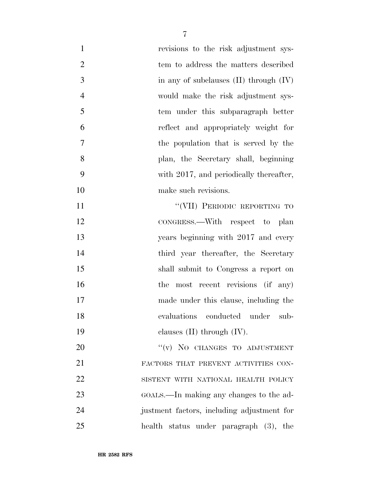| $\mathbf{1}$   | revisions to the risk adjustment sys-      |
|----------------|--------------------------------------------|
| $\overline{2}$ | tem to address the matters described       |
| 3              | in any of subclauses $(II)$ through $(IV)$ |
| $\overline{4}$ | would make the risk adjustment sys-        |
| 5              | tem under this subparagraph better         |
| 6              | reflect and appropriately weight for       |
| $\overline{7}$ | the population that is served by the       |
| 8              | plan, the Secretary shall, beginning       |
| 9              | with 2017, and periodically thereafter,    |
| 10             | make such revisions.                       |
| 11             | "(VII) PERIODIC REPORTING TO               |
| 12             | CONGRESS.—With respect to plan             |
| 13             | years beginning with 2017 and every        |
| 14             | third year thereafter, the Secretary       |
| 15             | shall submit to Congress a report on       |
| 16             | the most recent revisions (if any)         |
| 17             | made under this clause, including the      |
| 18             | evaluations conducted under<br>sub-        |
| 19             | clauses $(II)$ through $(IV)$ .            |
| <b>20</b>      | "(v) NO CHANGES TO ADJUSTMENT              |
| 21             | FACTORS THAT PREVENT ACTIVITIES CON-       |
| 22             | SISTENT WITH NATIONAL HEALTH POLICY        |
| 23             | GOALS.—In making any changes to the ad-    |
| 24             | justment factors, including adjustment for |
| 25             | health status under paragraph (3), the     |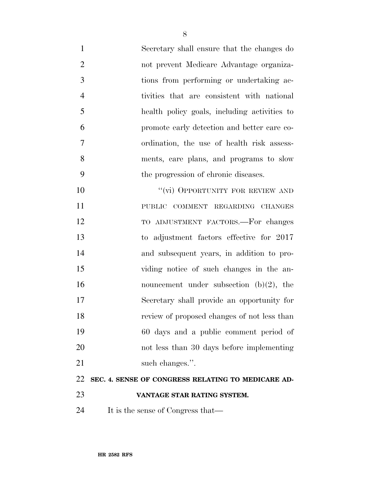Secretary shall ensure that the changes do not prevent Medicare Advantage organiza- tions from performing or undertaking ac- tivities that are consistent with national health policy goals, including activities to promote early detection and better care co- ordination, the use of health risk assess- ments, care plans, and programs to slow the progression of chronic diseases. 10 "(vi) OPPORTUNITY FOR REVIEW AND PUBLIC COMMENT REGARDING CHANGES TO ADJUSTMENT FACTORS.—For changes to adjustment factors effective for 2017 and subsequent years, in addition to pro- viding notice of such changes in the an-16 nouncement under subsection (b)(2), the

Secretary shall provide an opportunity for

review of proposed changes of not less than

- 60 days and a public comment period of not less than 30 days before implementing 21 such changes.". **SEC. 4. SENSE OF CONGRESS RELATING TO MEDICARE AD-VANTAGE STAR RATING SYSTEM.**
- It is the sense of Congress that—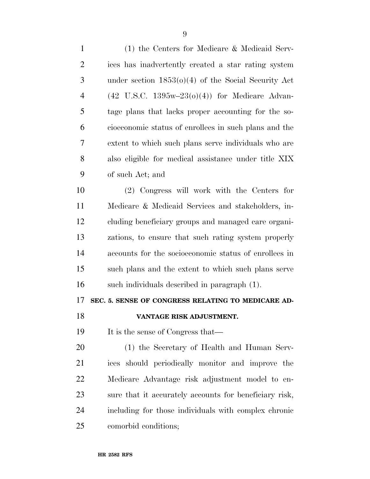(1) the Centers for Medicare & Medicaid Serv- ices has inadvertently created a star rating system under section 1853(o)(4) of the Social Security Act (42 U.S.C. 1395w–23(o)(4)) for Medicare Advan- tage plans that lacks proper accounting for the so- cioeconomic status of enrollees in such plans and the extent to which such plans serve individuals who are also eligible for medical assistance under title XIX of such Act; and (2) Congress will work with the Centers for Medicare & Medicaid Services and stakeholders, in- cluding beneficiary groups and managed care organi- zations, to ensure that such rating system properly accounts for the socioeconomic status of enrollees in such plans and the extent to which such plans serve such individuals described in paragraph (1). **SEC. 5. SENSE OF CONGRESS RELATING TO MEDICARE AD- VANTAGE RISK ADJUSTMENT.**  19 It is the sense of Congress that— (1) the Secretary of Health and Human Serv- ices should periodically monitor and improve the Medicare Advantage risk adjustment model to en- sure that it accurately accounts for beneficiary risk, including for those individuals with complex chronic

comorbid conditions;